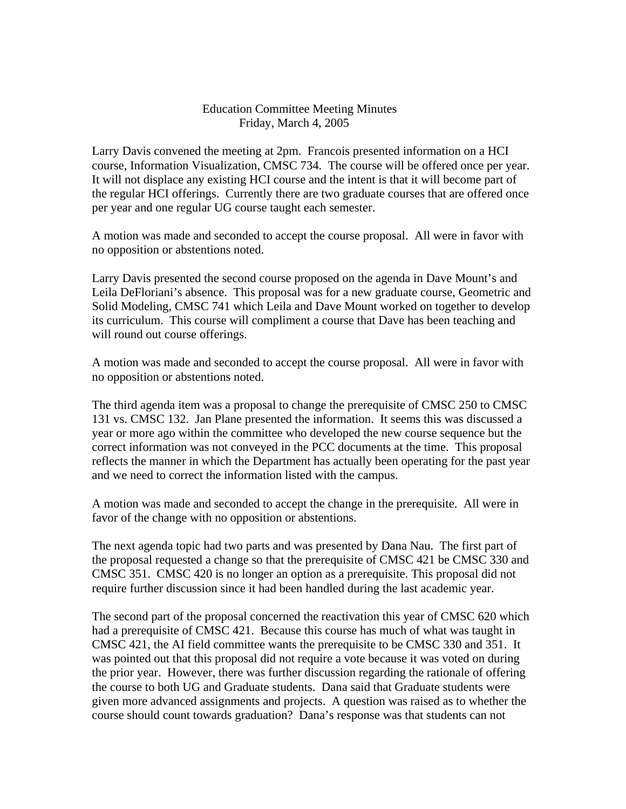## Education Committee Meeting Minutes Friday, March 4, 2005

Larry Davis convened the meeting at 2pm. Francois presented information on a HCI course, Information Visualization, CMSC 734. The course will be offered once per year. It will not displace any existing HCI course and the intent is that it will become part of the regular HCI offerings. Currently there are two graduate courses that are offered once per year and one regular UG course taught each semester.

A motion was made and seconded to accept the course proposal. All were in favor with no opposition or abstentions noted.

Larry Davis presented the second course proposed on the agenda in Dave Mount's and Leila DeFloriani's absence. This proposal was for a new graduate course, Geometric and Solid Modeling, CMSC 741 which Leila and Dave Mount worked on together to develop its curriculum. This course will compliment a course that Dave has been teaching and will round out course offerings.

A motion was made and seconded to accept the course proposal. All were in favor with no opposition or abstentions noted.

The third agenda item was a proposal to change the prerequisite of CMSC 250 to CMSC 131 vs. CMSC 132. Jan Plane presented the information. It seems this was discussed a year or more ago within the committee who developed the new course sequence but the correct information was not conveyed in the PCC documents at the time. This proposal reflects the manner in which the Department has actually been operating for the past year and we need to correct the information listed with the campus.

A motion was made and seconded to accept the change in the prerequisite. All were in favor of the change with no opposition or abstentions.

The next agenda topic had two parts and was presented by Dana Nau. The first part of the proposal requested a change so that the prerequisite of CMSC 421 be CMSC 330 and CMSC 351. CMSC 420 is no longer an option as a prerequisite. This proposal did not require further discussion since it had been handled during the last academic year.

The second part of the proposal concerned the reactivation this year of CMSC 620 which had a prerequisite of CMSC 421. Because this course has much of what was taught in CMSC 421, the AI field committee wants the prerequisite to be CMSC 330 and 351. It was pointed out that this proposal did not require a vote because it was voted on during the prior year. However, there was further discussion regarding the rationale of offering the course to both UG and Graduate students. Dana said that Graduate students were given more advanced assignments and projects. A question was raised as to whether the course should count towards graduation? Dana's response was that students can not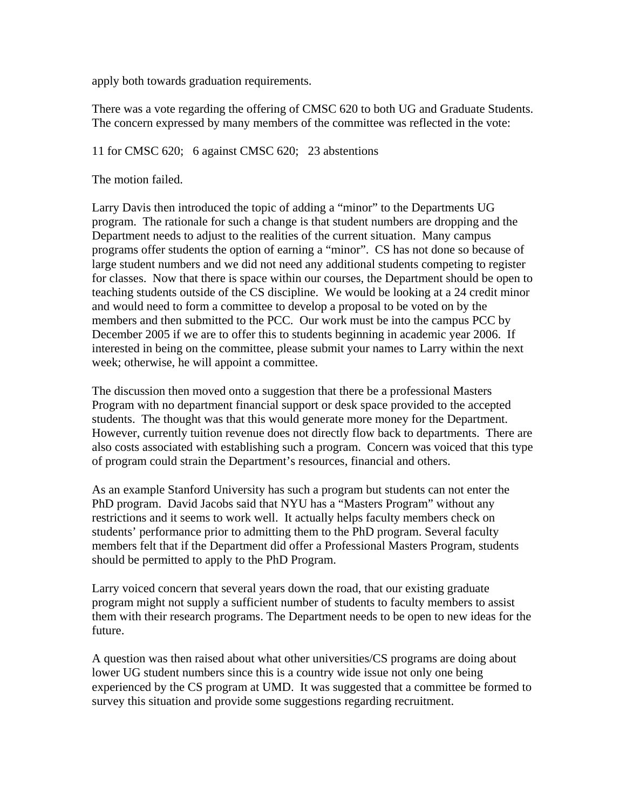apply both towards graduation requirements.

There was a vote regarding the offering of CMSC 620 to both UG and Graduate Students. The concern expressed by many members of the committee was reflected in the vote:

## 11 for CMSC 620; 6 against CMSC 620; 23 abstentions

The motion failed.

Larry Davis then introduced the topic of adding a "minor" to the Departments UG program. The rationale for such a change is that student numbers are dropping and the Department needs to adjust to the realities of the current situation. Many campus programs offer students the option of earning a "minor". CS has not done so because of large student numbers and we did not need any additional students competing to register for classes. Now that there is space within our courses, the Department should be open to teaching students outside of the CS discipline. We would be looking at a 24 credit minor and would need to form a committee to develop a proposal to be voted on by the members and then submitted to the PCC. Our work must be into the campus PCC by December 2005 if we are to offer this to students beginning in academic year 2006. If interested in being on the committee, please submit your names to Larry within the next week; otherwise, he will appoint a committee.

The discussion then moved onto a suggestion that there be a professional Masters Program with no department financial support or desk space provided to the accepted students. The thought was that this would generate more money for the Department. However, currently tuition revenue does not directly flow back to departments. There are also costs associated with establishing such a program. Concern was voiced that this type of program could strain the Department's resources, financial and others.

As an example Stanford University has such a program but students can not enter the PhD program. David Jacobs said that NYU has a "Masters Program" without any restrictions and it seems to work well. It actually helps faculty members check on students' performance prior to admitting them to the PhD program. Several faculty members felt that if the Department did offer a Professional Masters Program, students should be permitted to apply to the PhD Program.

Larry voiced concern that several years down the road, that our existing graduate program might not supply a sufficient number of students to faculty members to assist them with their research programs. The Department needs to be open to new ideas for the future.

A question was then raised about what other universities/CS programs are doing about lower UG student numbers since this is a country wide issue not only one being experienced by the CS program at UMD. It was suggested that a committee be formed to survey this situation and provide some suggestions regarding recruitment.